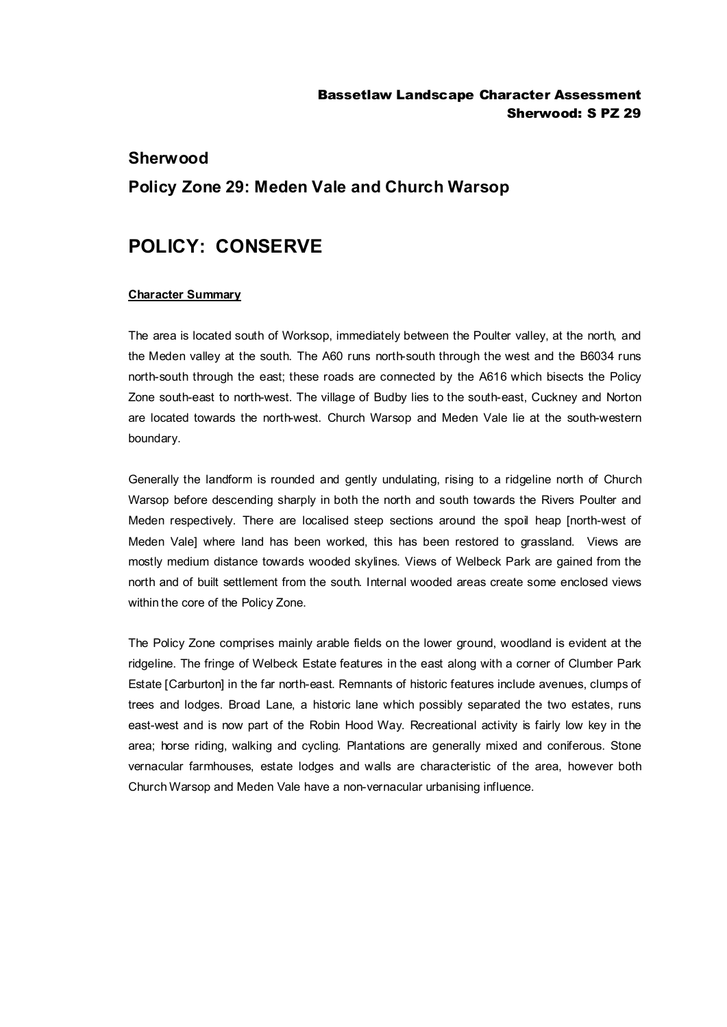### **Sherwood**

## **Policy Zone 29: Meden Vale and Church Warsop**

# **POLICY: CONSERVE**

#### **Character Summary**

The area is located south of Worksop, immediately between the Poulter valley, at the north, and the Meden valley at the south. The A60 runs north-south through the west and the B6034 runs north-south through the east; these roads are connected by the A616 which bisects the Policy Zone south-east to north-west. The village of Budby lies to the south-east, Cuckney and Norton are located towards the north-west. Church Warsop and Meden Vale lie at the south-western boundary.

Generally the landform is rounded and gently undulating, rising to a ridgeline north of Church Warsop before descending sharply in both the north and south towards the Rivers Poulter and Meden respectively. There are localised steep sections around the spoil heap [north-west of Meden Vale] where land has been worked, this has been restored to grassland. Views are mostly medium distance towards wooded skylines. Views of Welbeck Park are gained from the north and of built settlement from the south. Internal wooded areas create some enclosed views within the core of the Policy Zone.

The Policy Zone comprises mainly arable fields on the lower ground, woodland is evident at the ridgeline. The fringe of Welbeck Estate features in the east along with a corner of Clumber Park Estate [Carburton] in the far north-east. Remnants of historic features include avenues, clumps of trees and lodges. Broad Lane, a historic lane which possibly separated the two estates, runs east-west and is now part of the Robin Hood Way. Recreational activity is fairly low key in the area; horse riding, walking and cycling. Plantations are generally mixed and coniferous. Stone vernacular farmhouses, estate lodges and walls are characteristic of the area, however both Church Warsop and Meden Vale have a non-vernacular urbanising influence.